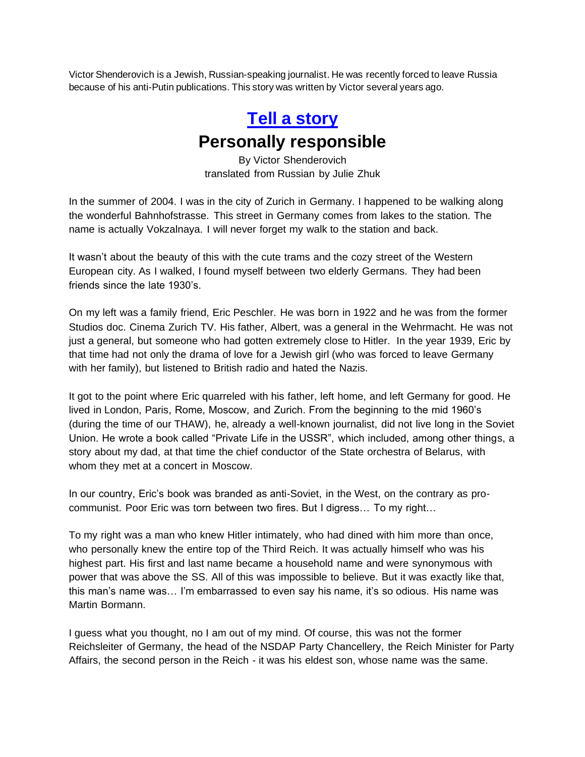Victor Shenderovich is a Jewish, Russian-speaking journalist. He was recently forced to leave Russia because of his anti-Putin publications. This story was written by Victor several years ago.

## **[Tell a story](https://tellastory.us/) Personally responsible**

By Victor Shenderovich translated from Russian by Julie Zhuk

In the summer of 2004. I was in the city of Zurich in Germany. I happened to be walking along the wonderful Bahnhofstrasse. This street in Germany comes from lakes to the station. The name is actually Vokzalnaya. I will never forget my walk to the station and back.

It wasn't about the beauty of this with the cute trams and the cozy street of the Western European city. As I walked, I found myself between two elderly Germans. They had been friends since the late 1930's.

On my left was a family friend, Eric Peschler. He was born in 1922 and he was from the former Studios doc. Cinema Zurich TV. His father, Albert, was a general in the Wehrmacht. He was not just a general, but someone who had gotten extremely close to Hitler. In the year 1939, Eric by that time had not only the drama of love for a Jewish girl (who was forced to leave Germany with her family), but listened to British radio and hated the Nazis.

It got to the point where Eric quarreled with his father, left home, and left Germany for good. He lived in London, Paris, Rome, Moscow, and Zurich. From the beginning to the mid 1960's (during the time of our THAW), he, already a well-known journalist, did not live long in the Soviet Union. He wrote a book called "Private Life in the USSR", which included, among other things, a story about my dad, at that time the chief conductor of the State orchestra of Belarus, with whom they met at a concert in Moscow.

In our country, Eric's book was branded as anti-Soviet, in the West, on the contrary as procommunist. Poor Eric was torn between two fires. But I digress… To my right…

To my right was a man who knew Hitler intimately, who had dined with him more than once, who personally knew the entire top of the Third Reich. It was actually himself who was his highest part. His first and last name became a household name and were synonymous with power that was above the SS. All of this was impossible to believe. But it was exactly like that, this man's name was… I'm embarrassed to even say his name, it's so odious. His name was Martin Bormann.

I guess what you thought, no I am out of my mind. Of course, this was not the former Reichsleiter of Germany, the head of the NSDAP Party Chancellery, the Reich Minister for Party Affairs, the second person in the Reich - it was his eldest son, whose name was the same.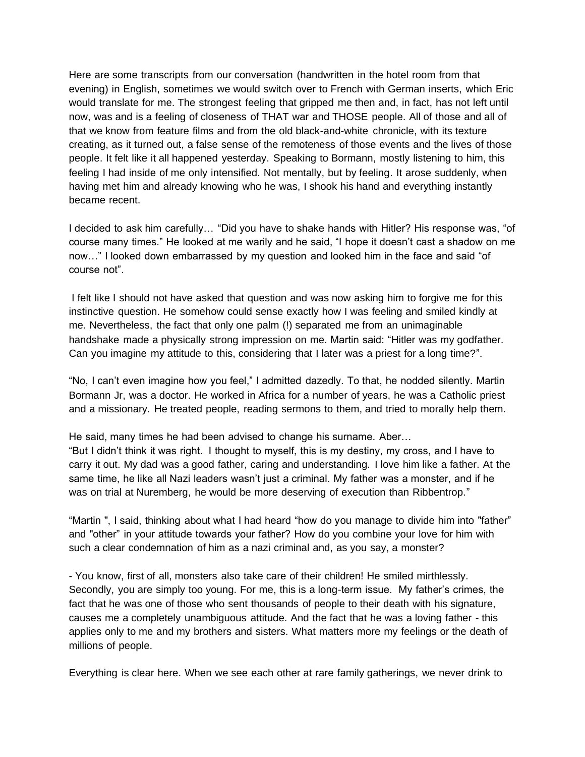Here are some transcripts from our conversation (handwritten in the hotel room from that evening) in English, sometimes we would switch over to French with German inserts, which Eric would translate for me. The strongest feeling that gripped me then and, in fact, has not left until now, was and is a feeling of closeness of THAT war and THOSE people. All of those and all of that we know from feature films and from the old black-and-white chronicle, with its texture creating, as it turned out, a false sense of the remoteness of those events and the lives of those people. It felt like it all happened yesterday. Speaking to Bormann, mostly listening to him, this feeling I had inside of me only intensified. Not mentally, but by feeling. It arose suddenly, when having met him and already knowing who he was, I shook his hand and everything instantly became recent.

I decided to ask him carefully… "Did you have to shake hands with Hitler? His response was, "of course many times." He looked at me warily and he said, "I hope it doesn't cast a shadow on me now…" I looked down embarrassed by my question and looked him in the face and said "of course not".

I felt like I should not have asked that question and was now asking him to forgive me for this instinctive question. He somehow could sense exactly how I was feeling and smiled kindly at me. Nevertheless, the fact that only one palm (!) separated me from an unimaginable handshake made a physically strong impression on me. Martin said: "Hitler was my godfather. Can you imagine my attitude to this, considering that I later was a priest for a long time?".

"No, I can't even imagine how you feel," I admitted dazedly. To that, he nodded silently. Martin Bormann Jr, was a doctor. He worked in Africa for a number of years, he was a Catholic priest and a missionary. He treated people, reading sermons to them, and tried to morally help them.

He said, many times he had been advised to change his surname. Aber…

"But I didn't think it was right. I thought to myself, this is my destiny, my cross, and I have to carry it out. My dad was a good father, caring and understanding. I love him like a father. At the same time, he like all Nazi leaders wasn't just a criminal. My father was a monster, and if he was on trial at Nuremberg, he would be more deserving of execution than Ribbentrop."

"Martin '', I said, thinking about what I had heard "how do you manage to divide him into ''father" and ''other" in your attitude towards your father? How do you combine your love for him with such a clear condemnation of him as a nazi criminal and, as you say, a monster?

- You know, first of all, monsters also take care of their children! He smiled mirthlessly. Secondly, you are simply too young. For me, this is a long-term issue. My father's crimes, the fact that he was one of those who sent thousands of people to their death with his signature, causes me a completely unambiguous attitude. And the fact that he was a loving father - this applies only to me and my brothers and sisters. What matters more my feelings or the death of millions of people.

Everything is clear here. When we see each other at rare family gatherings, we never drink to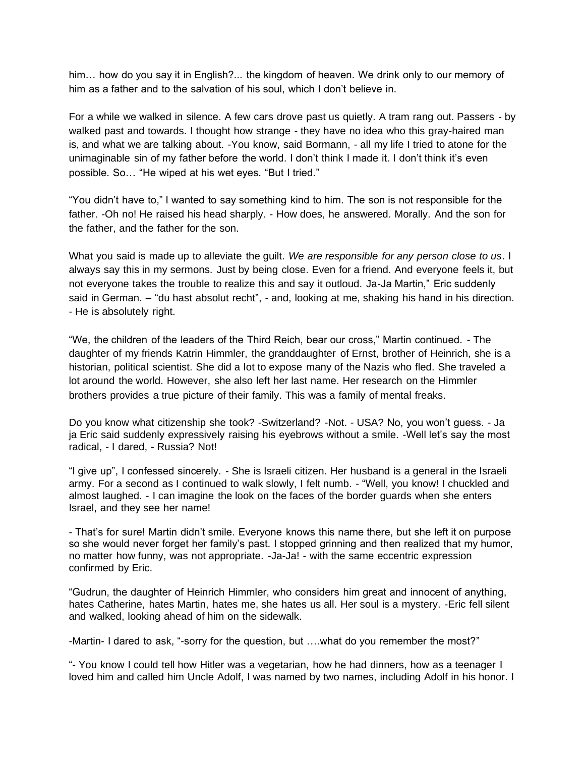him… how do you say it in English?... the kingdom of heaven. We drink only to our memory of him as a father and to the salvation of his soul, which I don't believe in.

For a while we walked in silence. A few cars drove past us quietly. A tram rang out. Passers - by walked past and towards. I thought how strange - they have no idea who this gray-haired man is, and what we are talking about. -You know, said Bormann, - all my life I tried to atone for the unimaginable sin of my father before the world. I don't think I made it. I don't think it's even possible. So… "He wiped at his wet eyes. "But I tried."

"You didn't have to," I wanted to say something kind to him. The son is not responsible for the father. -Oh no! He raised his head sharply. - How does, he answered. Morally. And the son for the father, and the father for the son.

What you said is made up to alleviate the guilt. *We are responsible for any person close to us*. I always say this in my sermons. Just by being close. Even for a friend. And everyone feels it, but not everyone takes the trouble to realize this and say it outloud. Ja-Ja Martin," Eric suddenly said in German. – "du hast absolut recht", - and, looking at me, shaking his hand in his direction. - He is absolutely right.

"We, the children of the leaders of the Third Reich, bear our cross," Martin continued. - The daughter of my friends Katrin Himmler, the granddaughter of Ernst, brother of Heinrich, she is a historian, political scientist. She did a lot to expose many of the Nazis who fled. She traveled a lot around the world. However, she also left her last name. Her research on the Himmler brothers provides a true picture of their family. This was a family of mental freaks.

Do you know what citizenship she took? -Switzerland? -Not. - USA? No, you won't guess. - Ja ja Eric said suddenly expressively raising his eyebrows without a smile. -Well let's say the most radical, - I dared, - Russia? Not!

"I give up", I confessed sincerely. - She is Israeli citizen. Her husband is a general in the Israeli army. For a second as I continued to walk slowly, I felt numb. - "Well, you know! I chuckled and almost laughed. - I can imagine the look on the faces of the border guards when she enters Israel, and they see her name!

- That's for sure! Martin didn't smile. Everyone knows this name there, but she left it on purpose so she would never forget her family's past. I stopped grinning and then realized that my humor, no matter how funny, was not appropriate. -Ja-Ja! - with the same eccentric expression confirmed by Eric.

"Gudrun, the daughter of Heinrich Himmler, who considers him great and innocent of anything, hates Catherine, hates Martin, hates me, she hates us all. Her soul is a mystery. -Eric fell silent and walked, looking ahead of him on the sidewalk.

-Martin- I dared to ask, "-sorry for the question, but ….what do you remember the most?"

"- You know I could tell how Hitler was a vegetarian, how he had dinners, how as a teenager I loved him and called him Uncle Adolf, I was named by two names, including Adolf in his honor. I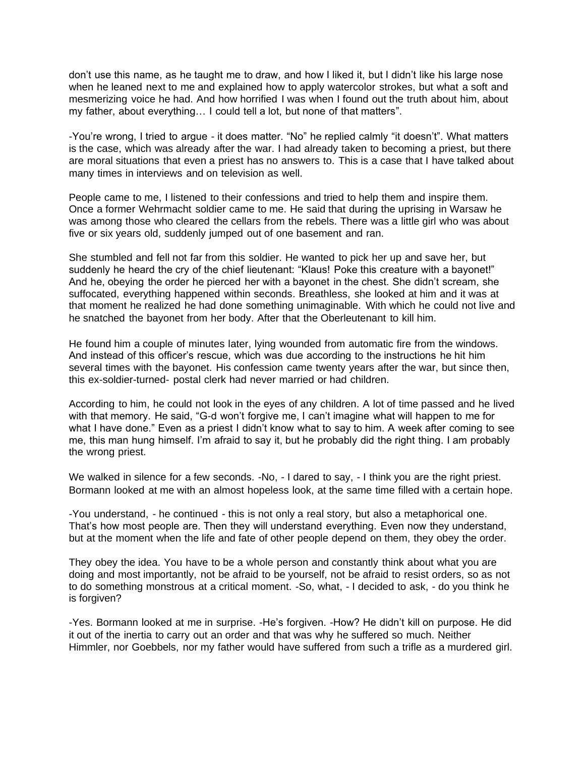don't use this name, as he taught me to draw, and how I liked it, but I didn't like his large nose when he leaned next to me and explained how to apply watercolor strokes, but what a soft and mesmerizing voice he had. And how horrified I was when I found out the truth about him, about my father, about everything… I could tell a lot, but none of that matters".

-You're wrong, I tried to argue - it does matter. "No" he replied calmly "it doesn't". What matters is the case, which was already after the war. I had already taken to becoming a priest, but there are moral situations that even a priest has no answers to. This is a case that I have talked about many times in interviews and on television as well.

People came to me, I listened to their confessions and tried to help them and inspire them. Once a former Wehrmacht soldier came to me. He said that during the uprising in Warsaw he was among those who cleared the cellars from the rebels. There was a little girl who was about five or six years old, suddenly jumped out of one basement and ran.

She stumbled and fell not far from this soldier. He wanted to pick her up and save her, but suddenly he heard the cry of the chief lieutenant: "Klaus! Poke this creature with a bayonet!" And he, obeying the order he pierced her with a bayonet in the chest. She didn't scream, she suffocated, everything happened within seconds. Breathless, she looked at him and it was at that moment he realized he had done something unimaginable. With which he could not live and he snatched the bayonet from her body. After that the Oberleutenant to kill him.

He found him a couple of minutes later, lying wounded from automatic fire from the windows. And instead of this officer's rescue, which was due according to the instructions he hit him several times with the bayonet. His confession came twenty years after the war, but since then, this ex-soldier-turned- postal clerk had never married or had children.

According to him, he could not look in the eyes of any children. A lot of time passed and he lived with that memory. He said, "G-d won't forgive me, I can't imagine what will happen to me for what I have done." Even as a priest I didn't know what to say to him. A week after coming to see me, this man hung himself. I'm afraid to say it, but he probably did the right thing. I am probably the wrong priest.

We walked in silence for a few seconds. -No, - I dared to say, - I think you are the right priest. Bormann looked at me with an almost hopeless look, at the same time filled with a certain hope.

-You understand, - he continued - this is not only a real story, but also a metaphorical one. That's how most people are. Then they will understand everything. Even now they understand, but at the moment when the life and fate of other people depend on them, they obey the order.

They obey the idea. You have to be a whole person and constantly think about what you are doing and most importantly, not be afraid to be yourself, not be afraid to resist orders, so as not to do something monstrous at a critical moment. -So, what, - I decided to ask, - do you think he is forgiven?

-Yes. Bormann looked at me in surprise. -He's forgiven. -How? He didn't kill on purpose. He did it out of the inertia to carry out an order and that was why he suffered so much. Neither Himmler, nor Goebbels, nor my father would have suffered from such a trifle as a murdered girl.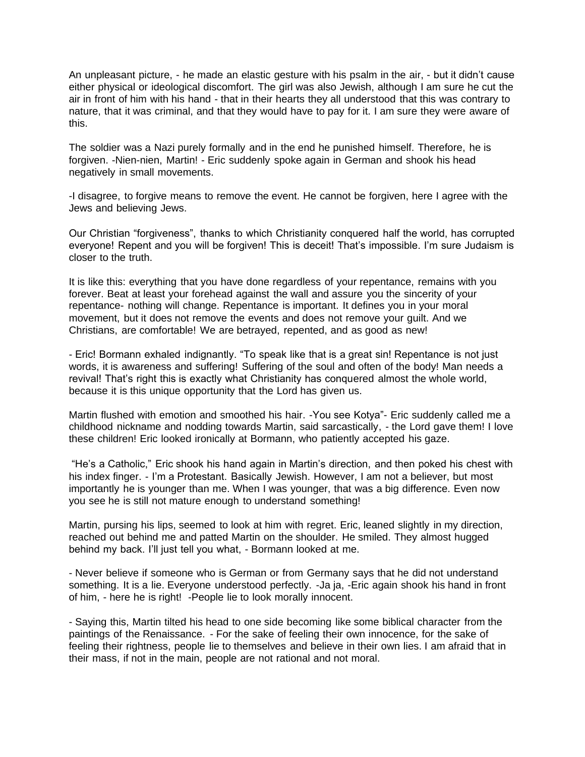An unpleasant picture, - he made an elastic gesture with his psalm in the air, - but it didn't cause either physical or ideological discomfort. The girl was also Jewish, although I am sure he cut the air in front of him with his hand - that in their hearts they all understood that this was contrary to nature, that it was criminal, and that they would have to pay for it. I am sure they were aware of this.

The soldier was a Nazi purely formally and in the end he punished himself. Therefore, he is forgiven. -Nien-nien, Martin! - Eric suddenly spoke again in German and shook his head negatively in small movements.

-I disagree, to forgive means to remove the event. He cannot be forgiven, here I agree with the Jews and believing Jews.

Our Christian "forgiveness", thanks to which Christianity conquered half the world, has corrupted everyone! Repent and you will be forgiven! This is deceit! That's impossible. I'm sure Judaism is closer to the truth.

It is like this: everything that you have done regardless of your repentance, remains with you forever. Beat at least your forehead against the wall and assure you the sincerity of your repentance- nothing will change. Repentance is important. It defines you in your moral movement, but it does not remove the events and does not remove your guilt. And we Christians, are comfortable! We are betrayed, repented, and as good as new!

- Eric! Bormann exhaled indignantly. "To speak like that is a great sin! Repentance is not just words, it is awareness and suffering! Suffering of the soul and often of the body! Man needs a revival! That's right this is exactly what Christianity has conquered almost the whole world, because it is this unique opportunity that the Lord has given us.

Martin flushed with emotion and smoothed his hair. -You see Kotya"- Eric suddenly called me a childhood nickname and nodding towards Martin, said sarcastically, - the Lord gave them! I love these children! Eric looked ironically at Bormann, who patiently accepted his gaze.

"He's a Catholic," Eric shook his hand again in Martin's direction, and then poked his chest with his index finger. - I'm a Protestant. Basically Jewish. However, I am not a believer, but most importantly he is younger than me. When I was younger, that was a big difference. Even now you see he is still not mature enough to understand something!

Martin, pursing his lips, seemed to look at him with regret. Eric, leaned slightly in my direction, reached out behind me and patted Martin on the shoulder. He smiled. They almost hugged behind my back. I'll just tell you what, - Bormann looked at me.

- Never believe if someone who is German or from Germany says that he did not understand something. It is a lie. Everyone understood perfectly. -Ja ja, -Eric again shook his hand in front of him, - here he is right! -People lie to look morally innocent.

- Saying this, Martin tilted his head to one side becoming like some biblical character from the paintings of the Renaissance. - For the sake of feeling their own innocence, for the sake of feeling their rightness, people lie to themselves and believe in their own lies. I am afraid that in their mass, if not in the main, people are not rational and not moral.